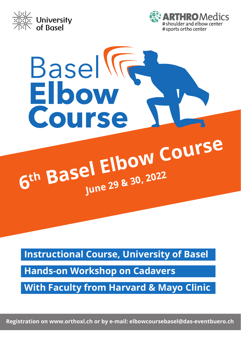



# Basel **General**<br>Elbow<br>Course

# **<sup>6</sup>th Basel Elbow Course June 29 & 30, 2022**

**Instructional Course, University of Basel**

**Hands-on Workshop on Cadavers**

**With Faculty from Harvard & Mayo Clinic**

Registration on www.orthoxl.ch or by e-mail: elbowcoursebasel@das-eventbuero.ch **Registration on www.orthoxl.ch or by e-mail: elbowcoursebasel@das-eventbuero.ch**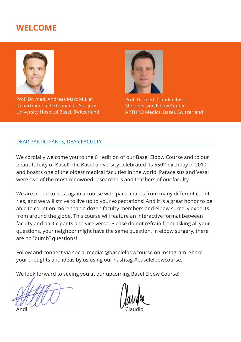# **WELCOME**



Prof. Dr. med. Andreas Marc Müller Department of Orthopaedic Surgery University Hospital Basel, Switzerland



Prof. Dr. med. Claudio Rosso Shoulder and Elbow Center ARTHRO Medics, Basel, Switzerland

#### DEAR PARTICIPANTS, DEAR FACULTY

We cordially welcome you to the 6<sup>th</sup> edition of our Basel Elbow Course and to our beautiful city of Basel! The Basel university celebrated its 550th birthday in 2010 and boasts one of the oldest medical faculties in the world. Paracelsus and Vesal were two of the most renowned researchers and teachers of our faculty.

We are proud to host again a course with participants from many diferent countries, and we will strive to live up to your expectations! And it is a great honor to be able to count on more than a dozen faculty members and elbow surgery experts from around the globe. This course will feature an interactive format between faculty and participants and vice versa. Please do not refrain from asking all your questions, your neighbor might have the same question. In elbow surgery, there are no "dumb" questions!

Follow and connect via social media: @baselelbowcourse on Instagram. Share your thoughts and ideas by us using our hashtag #baselelbowcourse.

We look forward to seeing you at our upcoming Basel Elbow Course!"

Andi **Claudio**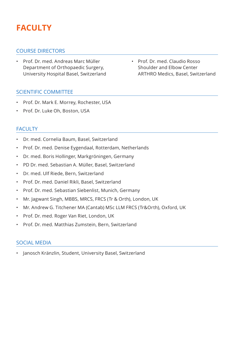# **FACULTY**

#### COURSE DIRECTORS

- Prof. Dr. med. Andreas Marc Müller Prof. Dr. med. Claudio Rosso Department of Orthopaedic Surgery, Shoulder and Elbow Center
- SCIENTIFIC COMMITTEE
- Prof. Dr. Mark E. Morrey, Rochester, USA
- Prof. Dr. Luke Oh, Boston, USA

## FACULTY

- Dr. med. Cornelia Baum, Basel, Switzerland
- Prof. Dr. med. Denise Eygendaal, Rotterdam, Netherlands
- Dr. med. Boris Hollinger, Markgröningen, Germany
- PD Dr. med. Sebastian A. Müller, Basel, Switzerland
- Dr. med. Ulf Riede, Bern, Switzerland
- Prof. Dr. med. Daniel Rikli, Basel, Switzerland
- Prof. Dr. med. Sebastian Siebenlist, Munich, Germany
- Mr. Jagwant Singh, MBBS, MRCS, FRCS (Tr & Orth), London, UK
- Mr. Andrew G. Titchener MA (Cantab) MSc LLM FRCS (Tr&Orth), Oxford, UK
- Prof. Dr. med. Roger Van Riet, London, UK
- Prof. Dr. med. Matthias Zumstein, Bern, Switzerland

#### SOCIAL MEDIA

• Janosch Kränzlin, Student, University Basel, Switzerland

University Hospital Basel, Switzerland ARTHRO Medics, Basel, Switzerland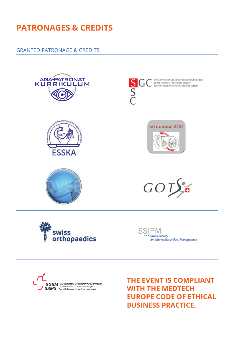# **PATRONAGES & CREDITS**

#### **GRANTED PATRONAGE & CREDITS**



**WITH THE MEDTECH EUROPE CODE OF ETHICAL BUSINESS PRACTICE.**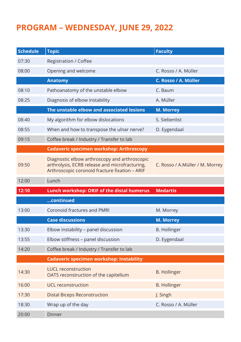# **PROGRAM – WEDNESDAY, JUNE 29, 2022**

| <b>Schedule</b> | <b>Topic</b>                                                                                                                                      | <b>Faculty</b>                  |  |  |
|-----------------|---------------------------------------------------------------------------------------------------------------------------------------------------|---------------------------------|--|--|
| 07:30           | Registration / Coffee                                                                                                                             |                                 |  |  |
| 08:00           | Opening and welcome                                                                                                                               | C. Rosso / A. Müller            |  |  |
|                 | <b>Anatomy</b>                                                                                                                                    | C. Rosso / A. Müller            |  |  |
| 08:10           | Pathoanatomy of the unstable elbow                                                                                                                | C. Baum                         |  |  |
| 08:25           | Diagnosis of elbow instability                                                                                                                    | A. Müller                       |  |  |
|                 | The unstable elbow and associated lesions                                                                                                         | M. Morrey                       |  |  |
| 08:40           | My algorithm for elbow dislocations                                                                                                               | S. Siebenlist                   |  |  |
| 08:55           | When and how to transpose the ulnar nerve?                                                                                                        | D. Eygendaal                    |  |  |
| 09:15           | Coffee break / Industry / Transfer to lab                                                                                                         |                                 |  |  |
|                 | <b>Cadaveric specimen workshop: Arthroscopy</b>                                                                                                   |                                 |  |  |
| 09:50           | Diagnostic elbow arthroscopy and arthroscopic<br>arthrolysis, ECRB release and microfracturing,<br>Arthroscopic coronoid fracture fixation - ARIF | C. Rosso / A.Müller / M. Morrey |  |  |
| 12:00           | Lunch                                                                                                                                             |                                 |  |  |
|                 |                                                                                                                                                   |                                 |  |  |
| 12:10           | Lunch workshop: ORIF of the distal humerus                                                                                                        | <b>Medartis</b>                 |  |  |
|                 | continued                                                                                                                                         |                                 |  |  |
| 13:00           | Coronoid fractures and PMRI                                                                                                                       | M. Morrey                       |  |  |
|                 | <b>Case discussions</b>                                                                                                                           | M. Morrey                       |  |  |
| 13:30           | Elbow instability – panel discussion                                                                                                              | <b>B.</b> Hollinger             |  |  |
| 13:55           | Elbow stiffness - panel discussion                                                                                                                | D. Eygendaal                    |  |  |
| 14:20           | Coffee break / Industry / Transfer to lab                                                                                                         |                                 |  |  |
|                 | <b>Cadaveric specimen workshop: Instability</b>                                                                                                   |                                 |  |  |
| 14:30           | <b>LUCL reconstruction</b><br>OATS reconstruction of the capitellum                                                                               | <b>B. Hollinger</b>             |  |  |
| 16:00           | UCL reconstruction                                                                                                                                | <b>B. Hollinger</b>             |  |  |
| 17:30           | Distal Biceps Reconstruction                                                                                                                      | J. Singh                        |  |  |
| 18:30           | Wrap up of the day                                                                                                                                | C. Rosso / A. Müller            |  |  |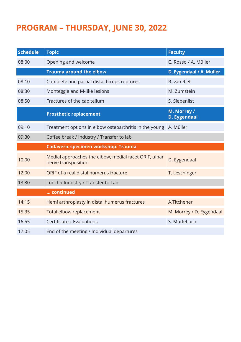# **PROGRAM – THURSDAY, JUNE 30, 2022**

| <b>Schedule</b> | <b>Topic</b>                                                                 | <b>Faculty</b>              |
|-----------------|------------------------------------------------------------------------------|-----------------------------|
| 08:00           | Opening and welcome                                                          | C. Rosso / A. Müller        |
|                 | <b>Trauma around the elbow</b>                                               | D. Eygendaal / A. Müller    |
| 08:10           | Complete and partial distal biceps ruptures                                  | R. van Riet                 |
| 08:30           | Monteggia and M-like lesions                                                 | M. Zumstein                 |
| 08:50           | Fractures of the capitellum                                                  | S. Siebenlist               |
|                 | <b>Prosthetic replacement</b>                                                | M. Morrey /<br>D. Eygendaal |
| 09:10           | Treatment options in elbow osteoarthritis in the young A. Müller             |                             |
| 09:30           | Coffee break / Industry / Transfer to lab                                    |                             |
|                 |                                                                              |                             |
|                 | Cadaveric specimen workshop: Trauma                                          |                             |
| 10:00           | Medial approaches the elbow, medial facet ORIF, ulnar<br>nerve transposition | D. Eygendaal                |
| 12:00           | ORIF of a real distal humerus fracture                                       | T. Leschinger               |
| 13:30           | Lunch / Industry / Transfer to Lab                                           |                             |
|                 | continued                                                                    |                             |
| 14:15           | Hemi arthroplasty in distal humerus fractures                                | A.Titchener                 |
| 15:35           | Total elbow replacement                                                      | M. Morrey / D. Eygendaal    |
| 16:55           | Certificates, Evaluations                                                    | S. Mürlebach                |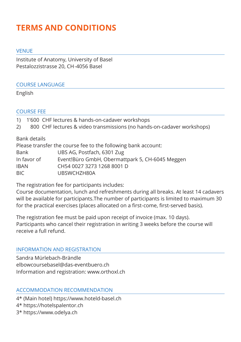# **TERMS AND CONDITIONS**

#### VENUE

Institute of Anatomy, University of Basel Pestalozzistrasse 20, CH -4056 Basel

#### COURSE LANGUAGE

English

# COURSE FEE

- 1) 1'600 CHF lectures & hands-on-cadaver workshops
- 2) 800 CHF lectures & video transmissions (no hands-on-cadaver workshops)

Bank details

Please transfer the course fee to the following bank account:

| Bank | UBS AG, Postfach, 6301 Zug |  |
|------|----------------------------|--|
|      |                            |  |

| In favor of | Event!Büro GmbH, Obermattpark 5, CH-6045 Meggen |
|-------------|-------------------------------------------------|
| IBAN        | CH54 0027 3273 1268 8001 D                      |
| BIC         | UBSWCHZH80A                                     |
|             |                                                 |

The registration fee for participants includes:

Course documentation, lunch and refreshments during all breaks. At least 14 cadavers will be available for participants.The number of participants is limited to maximum 30 for the practical exercises (places allocated on a first-come, first-served basis).

The registration fee must be paid upon receipt of invoice (max. 10 days). Participants who cancel their registration in writing 3 weeks before the course will receive a full refund.

## INFORMATION AND REGISTRATION

Sandra Mürlebach-Brändle elbowcoursebasel@das-eventbuero.ch Information and registration: www.orthoxl.ch

## ACCOMMODATION RECOMMENDATION

4\* (Main hotel) https://www.hoteld-basel.ch

- 4\* https://hotelspalentor.ch
- 3\* https://www.odelya.ch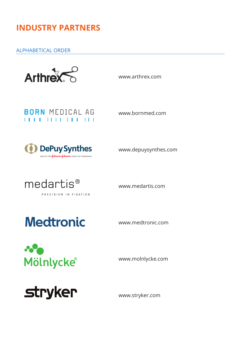# **INDUSTRY PARTNERS**

## ALPHABETICAL ORDER



www.arthrex.com

# **BORN MEDICAL AG** . . . . . . . . . . . . . . . .

www.bornmed.com



www.depuysynthes.com



www.medartis.com

# **Medtronic**

www.medtronic.com



www.molnlycke.com



www.stryker.com